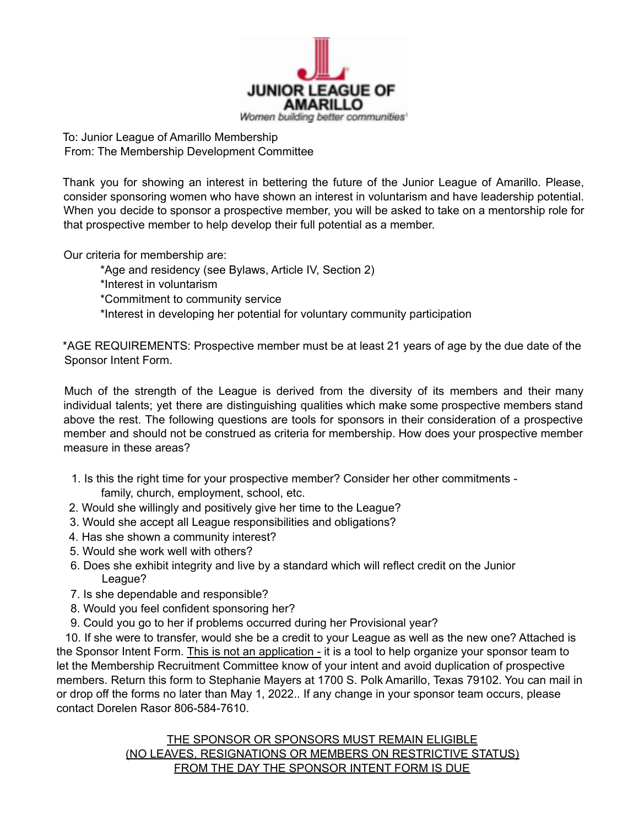

To: Junior League of Amarillo Membership From: The Membership Development Committee

Thank you for showing an interest in bettering the future of the Junior League of Amarillo. Please, consider sponsoring women who have shown an interest in voluntarism and have leadership potential. When you decide to sponsor a prospective member, you will be asked to take on a mentorship role for that prospective member to help develop their full potential as a member.

Our criteria for membership are:

\*Age and residency (see Bylaws, Article IV, Section 2)

\*Interest in voluntarism

\*Commitment to community service

\*Interest in developing her potential for voluntary community participation

\*AGE REQUIREMENTS: Prospective member must be at least 21 years of age by the due date of the Sponsor Intent Form.

Much of the strength of the League is derived from the diversity of its members and their many individual talents; yet there are distinguishing qualities which make some prospective members stand above the rest. The following questions are tools for sponsors in their consideration of a prospective member and should not be construed as criteria for membership. How does your prospective member measure in these areas?

- 1. Is this the right time for your prospective member? Consider her other commitments family, church, employment, school, etc.
- 2. Would she willingly and positively give her time to the League?
- 3. Would she accept all League responsibilities and obligations?
- 4. Has she shown a community interest?
- 5. Would she work well with others?
- 6. Does she exhibit integrity and live by a standard which will reflect credit on the Junior League?
- 7. Is she dependable and responsible?
- 8. Would you feel confident sponsoring her?
- 9. Could you go to her if problems occurred during her Provisional year?

10. If she were to transfer, would she be a credit to your League as well as the new one? Attached is the Sponsor Intent Form. This is not an application - it is a tool to help organize your sponsor team to let the Membership Recruitment Committee know of your intent and avoid duplication of prospective members. Return this form to Stephanie Mayers at 1700 S. Polk Amarillo, Texas 79102. You can mail in or drop off the forms no later than May 1, 2022.. If any change in your sponsor team occurs, please contact Dorelen Rasor 806-584-7610.

> THE SPONSOR OR SPONSORS MUST REMAIN ELIGIBLE (NO LEAVES, RESIGNATIONS OR MEMBERS ON RESTRICTIVE STATUS) FROM THE DAY THE SPONSOR INTENT FORM IS DUE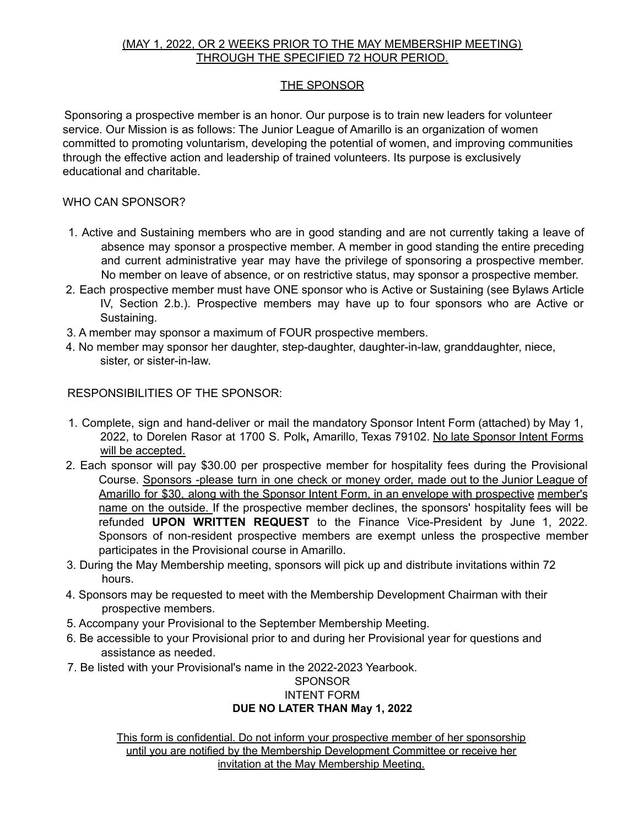### (MAY 1, 2022, OR 2 WEEKS PRIOR TO THE MAY MEMBERSHIP MEETING) THROUGH THE SPECIFIED 72 HOUR PERIOD.

# THE SPONSOR

Sponsoring a prospective member is an honor. Our purpose is to train new leaders for volunteer service. Our Mission is as follows: The Junior League of Amarillo is an organization of women committed to promoting voluntarism, developing the potential of women, and improving communities through the effective action and leadership of trained volunteers. Its purpose is exclusively educational and charitable.

## WHO CAN SPONSOR?

- 1. Active and Sustaining members who are in good standing and are not currently taking a leave of absence may sponsor a prospective member. A member in good standing the entire preceding and current administrative year may have the privilege of sponsoring a prospective member. No member on leave of absence, or on restrictive status, may sponsor a prospective member.
- 2. Each prospective member must have ONE sponsor who is Active or Sustaining (see Bylaws Article IV, Section 2.b.). Prospective members may have up to four sponsors who are Active or Sustaining.
- 3. A member may sponsor a maximum of FOUR prospective members.
- 4. No member may sponsor her daughter, step-daughter, daughter-in-law, granddaughter, niece, sister, or sister-in-law.

RESPONSIBILITIES OF THE SPONSOR:

- 1. Complete, sign and hand-deliver or mail the mandatory Sponsor Intent Form (attached) by May 1, 2022, to Dorelen Rasor at 1700 S. Polk**,** Amarillo, Texas 79102. No late Sponsor Intent Forms will be accepted.
- 2. Each sponsor will pay \$30.00 per prospective member for hospitality fees during the Provisional Course. Sponsors -please turn in one check or money order, made out to the Junior League of Amarillo for \$30, along with the Sponsor Intent Form, in an envelope with prospective member's name on the outside. If the prospective member declines, the sponsors' hospitality fees will be refunded **UPON WRITTEN REQUEST** to the Finance Vice-President by June 1, 2022. Sponsors of non-resident prospective members are exempt unless the prospective member participates in the Provisional course in Amarillo.
- 3. During the May Membership meeting, sponsors will pick up and distribute invitations within 72 hours.
- 4. Sponsors may be requested to meet with the Membership Development Chairman with their prospective members.
- 5. Accompany your Provisional to the September Membership Meeting.
- 6. Be accessible to your Provisional prior to and during her Provisional year for questions and assistance as needed.
- 7. Be listed with your Provisional's name in the 2022-2023 Yearbook.

#### SPONSOR INTENT FORM **DUE NO LATER THAN May 1, 2022**

This form is confidential. Do not inform your prospective member of her sponsorship until you are notified by the Membership Development Committee or receive her invitation at the May Membership Meeting.